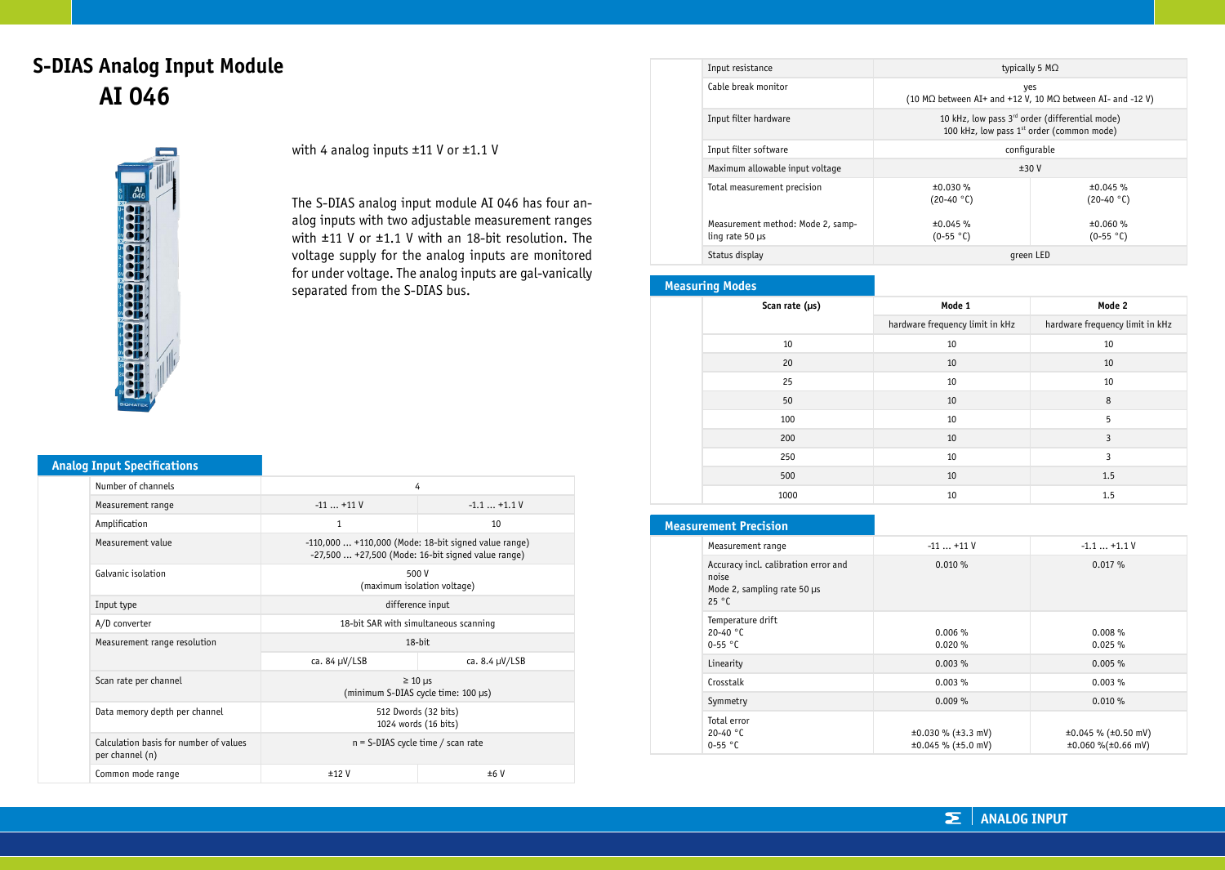# **S-DIAS Analog Input Module AI 046**



with 4 analog inputs ±11 V or ±1.1 V

The S-DIAS analog input module AI 046 has four analog inputs with two adjustable measurement ranges with ±11 V or ±1.1 V with an 18-bit resolution. The voltage supply for the analog inputs are monitored for under voltage. The analog inputs are gal-vanically separated from the S-DIAS bus.

|  | <b>Analog Input Specifications</b> |  |
|--|------------------------------------|--|
|  |                                    |  |

| Number of channels                                        | 4                                                                                                          |                     |
|-----------------------------------------------------------|------------------------------------------------------------------------------------------------------------|---------------------|
| Measurement range                                         | $-11+11V$                                                                                                  | $-1.1+1.1V$         |
| Amplification                                             | $\mathbf{1}$                                                                                               | 10                  |
| Measurement value                                         | $-110,000+110,000$ (Mode: 18-bit signed value range)<br>$-27,500+27,500$ (Mode: 16-bit signed value range) |                     |
| Galvanic isolation                                        | 500 V<br>(maximum isolation voltage)                                                                       |                     |
| Input type                                                | difference input                                                                                           |                     |
| A/D converter                                             | 18-bit SAR with simultaneous scanning                                                                      |                     |
| Measurement range resolution                              | 18-bit                                                                                                     |                     |
|                                                           | ca. 84 µV/LSB                                                                                              | ca. $8.4 \mu V/LSB$ |
| Scan rate per channel                                     | $\geq 10$ µs<br>(minimum S-DIAS cycle time: 100 µs)                                                        |                     |
| Data memory depth per channel                             | 512 Dwords (32 bits)<br>1024 words (16 bits)                                                               |                     |
| Calculation basis for number of values<br>per channel (n) | $n = S-DIAS$ cycle time / scan rate                                                                        |                     |
| Common mode range                                         | ±12V                                                                                                       | ±6V                 |

| Input resistance                                             | typically 5 $M\Omega$                                                                                               |                         |
|--------------------------------------------------------------|---------------------------------------------------------------------------------------------------------------------|-------------------------|
| Cable break monitor                                          | yes<br>(10 M $\Omega$ between AI+ and +12 V, 10 M $\Omega$ between AI- and -12 V)                                   |                         |
| Input filter hardware                                        | 10 kHz, low pass 3 <sup>rd</sup> order (differential mode)<br>100 kHz, low pass 1 <sup>st</sup> order (common mode) |                         |
| Input filter software                                        | configurable                                                                                                        |                         |
| Maximum allowable input voltage                              | ±30V                                                                                                                |                         |
| Total measurement precision                                  | ±0.030%<br>$(20-40 °C)$                                                                                             | ±0.045%<br>$(20-40 °C)$ |
| Measurement method: Mode 2, samp-<br>$\ln q$ rate 50 $\mu$ s | ±0.045%<br>$(0-55 °C)$                                                                                              | ±0.060%<br>$(0-55 °C)$  |
| Status display                                               | green LED                                                                                                           |                         |

### **Measuring Modes**

| Scan rate (µs) | Mode 1                          | Mode 2                          |
|----------------|---------------------------------|---------------------------------|
|                | hardware frequency limit in kHz | hardware frequency limit in kHz |
| 10             | 10                              | 10                              |
| 20             | 10                              | 10                              |
| 25             | 10                              | 10                              |
| 50             | 10                              | 8                               |
| 100            | 10                              | 5                               |
| 200            | 10                              | 3                               |
| 250            | 10                              | 3                               |
| 500            | 10                              | 1.5                             |
| 1000           | 10                              | 1.5                             |

| <b>Measurement Precision</b>                                                          |                                                                |                                                                 |
|---------------------------------------------------------------------------------------|----------------------------------------------------------------|-----------------------------------------------------------------|
| Measurement range                                                                     | $-11+11V$                                                      | $-1.1+1.1V$                                                     |
| Accuracy incl. calibration error and<br>noise<br>Mode 2, sampling rate 50 µs<br>25 °C | 0.010%                                                         | 0.017%                                                          |
| Temperature drift<br>20-40 $°C$<br>$0-55$ °C                                          | 0.006%<br>0.020%                                               | $0.008 \%$<br>0.025%                                            |
| Linearity                                                                             | $0.003\%$                                                      | 0.005%                                                          |
| Crosstalk                                                                             | 0.003%                                                         | 0.003%                                                          |
| Symmetry                                                                              | $0.009\%$                                                      | 0.010%                                                          |
| Total error<br>20-40 $°C$<br>0-55 °C                                                  | $\pm 0.030$ % ( $\pm 3.3$ mV)<br>$\pm 0.045$ % ( $\pm 5.0$ mV) | $\pm 0.045$ % ( $\pm 0.50$ mV)<br>$\pm 0.060$ %( $\pm 0.66$ mV) |